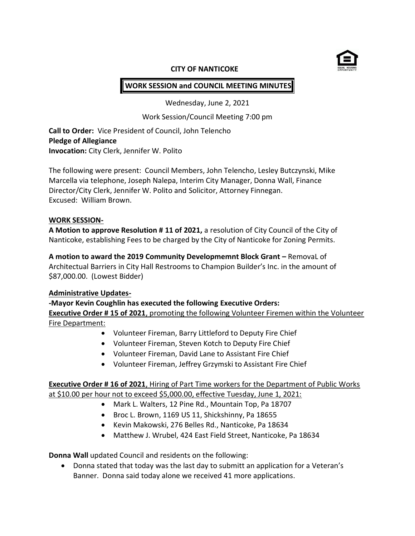

### **CITY OF NANTICOKE**

# **WORK SESSION and COUNCIL MEETING MINUTES**

Wednesday, June 2, 2021

Work Session/Council Meeting 7:00 pm

**Call to Order:** Vice President of Council, John Telencho **Pledge of Allegiance Invocation:** City Clerk, Jennifer W. Polito

The following were present: Council Members, John Telencho, Lesley Butczynski, Mike Marcella via telephone, Joseph Nalepa, Interim City Manager, Donna Wall, Finance Director/City Clerk, Jennifer W. Polito and Solicitor, Attorney Finnegan. Excused: William Brown.

#### **WORK SESSION-**

**A Motion to approve Resolution # 11 of 2021,** a resolution of City Council of the City of Nanticoke, establishing Fees to be charged by the City of Nanticoke for Zoning Permits.

**A motion to award the 2019 Community Developmemnt Block Grant –** RemovaL of Architectual Barriers in City Hall Restrooms to Champion Builder's Inc. in the amount of \$87,000.00. (Lowest Bidder)

#### **Administrative Updates-**

**-Mayor Kevin Coughlin has executed the following Executive Orders:**

**Executive Order # 15 of 2021**, promoting the following Volunteer Firemen within the Volunteer Fire Department:

- Volunteer Fireman, Barry Littleford to Deputy Fire Chief
- Volunteer Fireman, Steven Kotch to Deputy Fire Chief
- Volunteer Fireman, David Lane to Assistant Fire Chief
- Volunteer Fireman, Jeffrey Grzymski to Assistant Fire Chief

**Executive Order # 16 of 2021**, Hiring of Part Time workers for the Department of Public Works at \$10.00 per hour not to exceed \$5,000.00, effective Tuesday, June 1, 2021:

- Mark L. Walters, 12 Pine Rd., Mountain Top, Pa 18707
- Broc L. Brown, 1169 US 11, Shickshinny, Pa 18655
- Kevin Makowski, 276 Belles Rd., Nanticoke, Pa 18634
- Matthew J. Wrubel, 424 East Field Street, Nanticoke, Pa 18634

**Donna Wall** updated Council and residents on the following:

 Donna stated that today was the last day to submitt an application for a Veteran's Banner. Donna said today alone we received 41 more applications.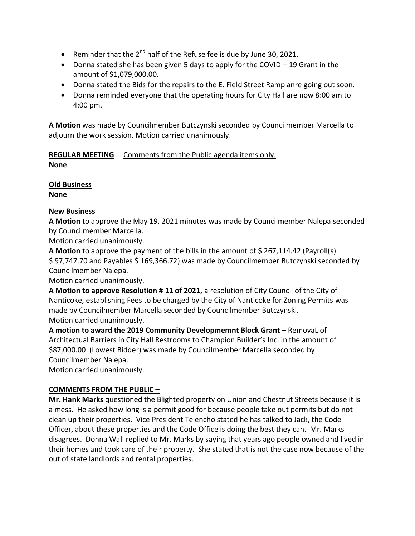- **•** Reminder that the  $2^{nd}$  half of the Refuse fee is due by June 30, 2021.
- Donna stated she has been given 5 days to apply for the COVID 19 Grant in the amount of \$1,079,000.00.
- Donna stated the Bids for the repairs to the E. Field Street Ramp anre going out soon.
- Donna reminded everyone that the operating hours for City Hall are now 8:00 am to 4:00 pm.

**A Motion** was made by Councilmember Butczynski seconded by Councilmember Marcella to adjourn the work session. Motion carried unanimously.

**REGULAR MEETING** Comments from the Public agenda items only. **None**

**Old Business**

**None**

# **New Business**

**A Motion** to approve the May 19, 2021 minutes was made by Councilmember Nalepa seconded by Councilmember Marcella.

Motion carried unanimously.

**A Motion** to approve the payment of the bills in the amount of \$267,114.42 (Payroll(s) \$ 97,747.70 and Payables \$ 169,366.72) was made by Councilmember Butczynski seconded by Councilmember Nalepa.

Motion carried unanimously.

**A Motion to approve Resolution # 11 of 2021,** a resolution of City Council of the City of Nanticoke, establishing Fees to be charged by the City of Nanticoke for Zoning Permits was made by Councilmember Marcella seconded by Councilmember Butczynski. Motion carried unanimously.

**A motion to award the 2019 Community Developmemnt Block Grant –** RemovaL of Architectual Barriers in City Hall Restrooms to Champion Builder's Inc. in the amount of \$87,000.00 (Lowest Bidder) was made by Councilmember Marcella seconded by Councilmember Nalepa.

Motion carried unanimously.

# **COMMENTS FROM THE PUBLIC –**

**Mr. Hank Marks** questioned the Blighted property on Union and Chestnut Streets because it is a mess. He asked how long is a permit good for because people take out permits but do not clean up their properties. Vice President Telencho stated he has talked to Jack, the Code Officer, about these properties and the Code Office is doing the best they can. Mr. Marks disagrees. Donna Wall replied to Mr. Marks by saying that years ago people owned and lived in their homes and took care of their property. She stated that is not the case now because of the out of state landlords and rental properties.